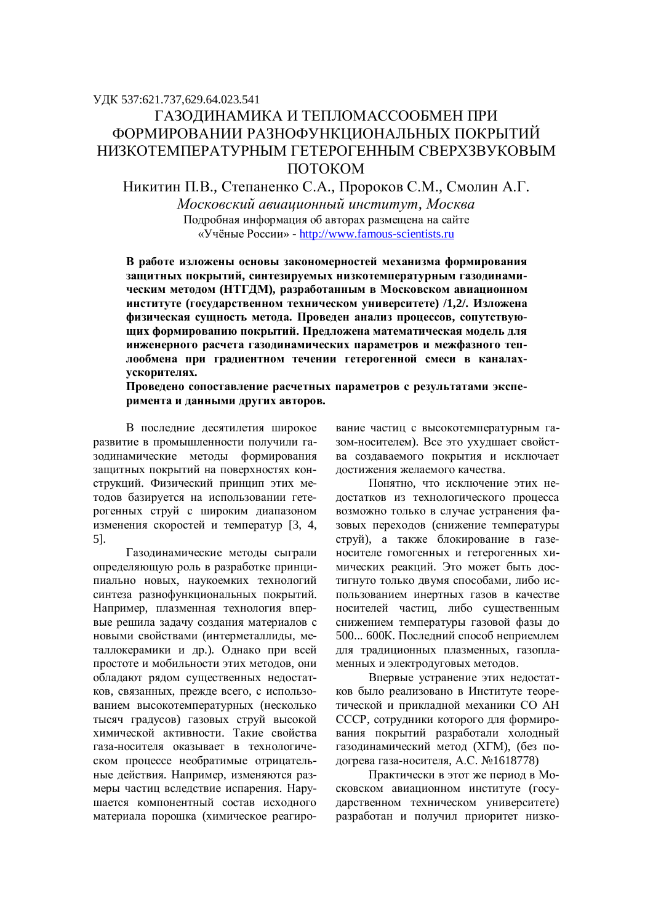# УДК 537:621.737,629.64.023.541 ГАЗОЛИНАМИКА И ТЕПЛОМАССООБМЕН ПРИ ФОРМИРОВАНИИ РАЗНОФУНКЦИОНАЛЬНЫХ ПОКРЫТИЙ НИЗКОТЕМПЕРАТУРНЫМ ГЕТЕРОГЕННЫМ СВЕРХЗВУКОВЫМ ПОТОКОМ

Никитин П.В., Степаненко С.А., Пророков С.М., Смолин А.Г.

 $M$ осковский авиаиионный институт, Москва Подробная информация об авторах размещена на сайте «Учёные России» - http://www.famous-scientists.ru

В работе изложены основы закономерностей механизма формирования защитных покрытий, синтезируемых низкотемпературным газодинамическим методом (НТГДМ), разработанным в Московском авиационном институте (государственном техническом университете) /1,2/. Изложена физическая сущность метода. Проведен анализ процессов, сопутствующих формированию покрытий. Предложена математическая модель для инженерного расчета газолинамических параметров и межфазного теплообмена при градиентном течении гетерогенной смеси в каналах-**VCКОРИТЕЛЯХ.** 

## Проведено сопоставление расчетных параметров с результатами эксперимента и данными других авторов.

В последние десятилетия широкое развитие в промышленности получили гааодинамические методы формирования защитных покрытий на поверхностях конструкций. Физический принцип этих методов базируется на использовании гетерогенных струй с широким диапазоном изменения скоростей и температур [3, 4, 5].

Газодинамические методы сыграли определяющую роль в разработке принципиально новых, наукоемких технологий синтеза разнофункциональных покрытий. Например, плазменная технология впервые решила задачу создания материалов с новыми свойствами (интерметаллиды, металлокерамики и др.). Однако при всей простоте и мобильности этих методов, они обладают рядом существенных недостатков, связанных, прежде всего, с использованием высокотемпературных (несколько тысяч градусов) газовых струй высокой химической активности. Такие свойства газа-носителя оказывает в технологическом процессе необратимые отрицательные лействия. Например, изменяются размеры частиц вследствие испарения. Нарушается компонентный состав исходного материала порошка (химическое реагирование частиц с высокотемпературным газом-носителем). Все это ухудшает свойства создаваемого покрытия и исключает достижения желаемого качества.

Понятно, что исключение этих недостатков из технологического процесса возможно только в случае устранения фазовых переходов (снижение температуры струй), а также блокирование в газеносителе гомогенных и гетерогенных химических реакций. Это может быть достигнуто только двумя способами, либо использованием инертных газов в качестве носителей частиц, либо существенным снижением температуры газовой фазы до 500... 600К. Последний способ неприемлем для традиционных плазменных, газопламенных и электродуговых методов.

Впервые устранение этих недостатков было реализовано в Институте теоретической и прикладной механики СО АН СССР, сотрудники которого для формирования покрытий разработали холодный газодинамический метод (XГМ), (без подогрева газа-носителя, А.С. №1618778)

Практически в этот же период в Московском авиационном институте (государственном техническом университете) разработан и получил приоритет низко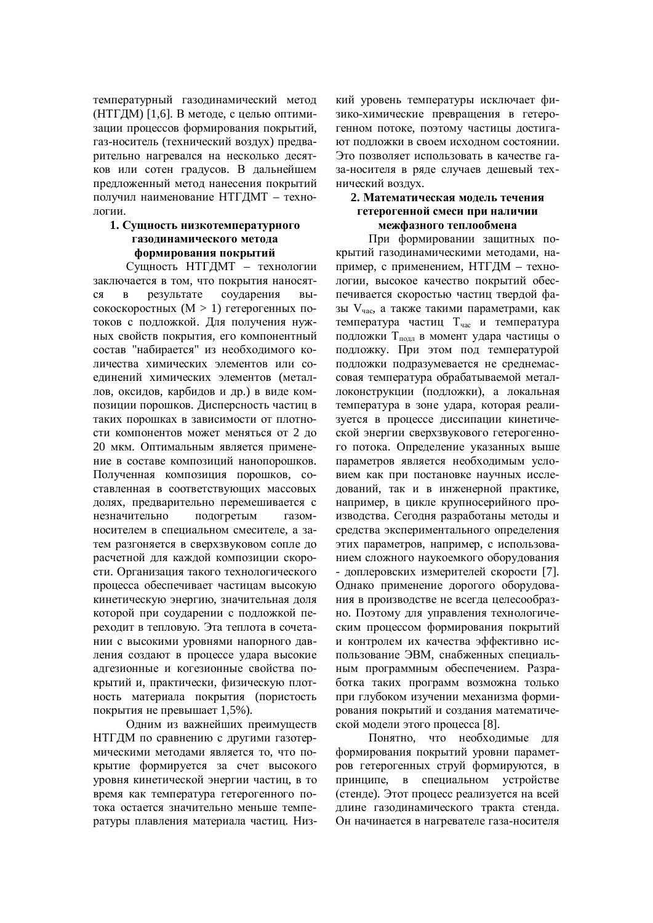температурный газодинамический метод (НТГДМ) [1,6]. В методе, с целью оптимизации процессов формирования покрытий. газ-носитель (технический воздух) предварительно нагревался на несколько десятков или сотен градусов. В дальнейшем предложенный метод нанесения покрытий получил наименование НТГДМТ – технологии.

## **1. Сущность низкотемпературного** Газолинамического метода формирования покрытий

Сущность НТГДМТ – технологии заключается в том, что покрытия наносятся в результате соударения высокоскоростных  $(M > 1)$  гетерогенных потоков с подложкой. Для получения нужных свойств покрытия, его компонентный состав "набирается" из необходимого количества химических элементов или соединений химических элементов (металлов, оксидов, карбидов и др.) в виде композиции порошков. Дисперсность частиц в таких порошках в зависимости от плотности компонентов может меняться от 2 до 20 мкм. Оптимальным является применение в составе композиций нанопорошков. Полученная композиция порошков, составленная в соответствующих массовых долях, предварительно перемешивается с незначительно подогретым газомносителем в специальном смесителе, а затем разгоняется в сверхзвуковом сопле до расчетной для каждой композиции скорости. Организация такого технологического процесса обеспечивает частицам высокую кинетическую энергию, значительная доля которой при соударении с подложкой переходит в тепловую. Эта теплота в сочетании с высокими уровнями напорного давления создают в процессе удара высокие адгезионные и когезионные свойства покрытий и, практически, физическую плотность материала покрытия (пористость покрытия не превышает  $1.5\%$ ).

Одним из важнейших преимуществ НТГДМ по сравнению с другими газотермическими методами является то, что покрытие формируется за счет высокого уровня кинетической энергии частиц, в то время как температура гетерогенного потока остается значительно меньше температуры плавления материала частиц. Низкий уровень температуры исключает физико-химические превращения в гетерогенном потоке, поэтому частицы достига-**ЮТ ПОЛЛОЖКИ В СВОЕМ ИСХОЛНОМ СОСТОЯНИИ.** Это позволяет использовать в качестве газа-носителя в ряде случаев дешевый технический воздух.

## 2. Математическая модель течения гетерогенной смеси при наличии межфазного теплообмена

При формировании защитных покрытий газодинамическими методами, например, с применением, НТГДМ – технологии, высокое качество покрытий обеспечивается скоростью частиц твердой фазы V<sub>час</sub>, а также такими параметрами, как температура частиц Тчас и температура подложки Т<sub>лодл</sub> в момент удара частицы о подложку. При этом под температурой подложки подразумевается не среднемассовая температура обрабатываемой металлоконструкции (подложки), а локальная температура в зоне удара, которая реализуется в процессе диссипации кинетической энергии сверхзвукового гетерогенного потока. Определение указанных выше параметров является необходимым условием как при постановке научных исследований, так и в инженерной практике, например, в цикле крупносерийного производства. Сегодня разработаны методы и средства экспериментального определения этих параметров, например, с использованием сложного наукоемкого оборудования - доплеровских измерителей скорости [7]. Однако применение дорогого оборудования в производстве не всегда целесообразно. Поэтому для управления технологическим процессом формирования покрытий и контролем их качества эффективно использование ЭВМ, снабженных специальным программным обеспечением. Разработка таких программ возможна только при глубоком изучении механизма формирования покрытий и создания математической модели этого процесса [8].

Понятно, что необходимые для формирования покрытий уровни параметров гетерогенных струй формируются, в принципе, в специальном устройстве (стенде). Этот процесс реализуется на всей длине газодинамического тракта стенда. Он начинается в нагревателе газа-носителя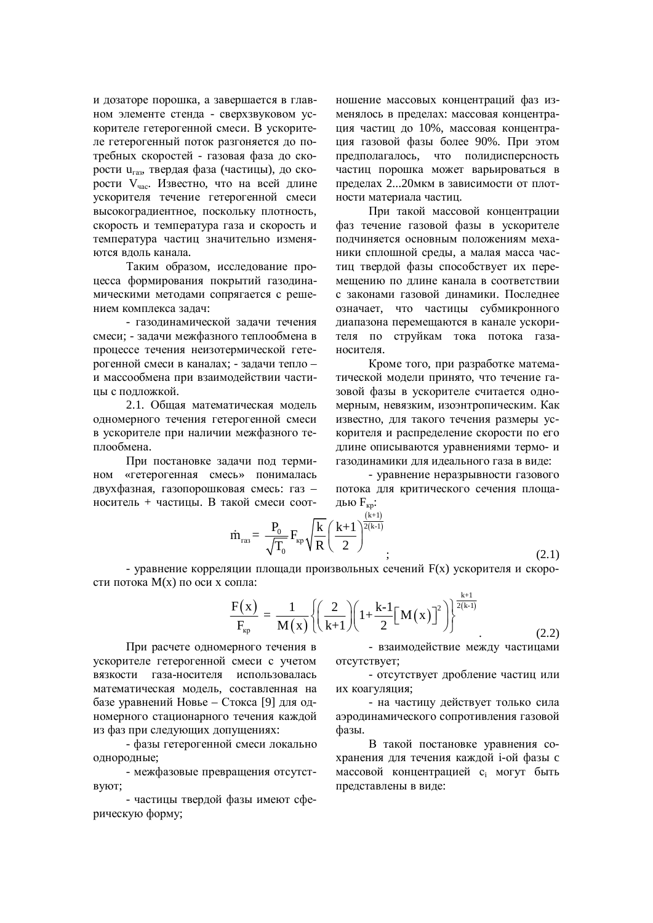и дозаторе порошка, а завершается в главном элементе стенда - сверхзвуковом ускорителе гетерогенной смеси. В ускорителе гетерогенный поток разгоняется до потребных скоростей - газовая фаза до скорости u<sub>газ</sub>, твердая фаза (частицы), до скорости V<sub>час</sub>. Известно, что на всей длине ускорителя течение гетерогенной смеси высокоградиентное, поскольку плотность, скорость и температура газа и скорость и температура частиц значительно изменяются вдоль канала.

Таким образом, исследование процесса формирования покрытий газодинамическими методами сопрягается с решением комплекса залач:

- газолинамической залачи течения смеси: - залачи межфазного теплообмена в процессе течения неизотермической гетерогенной смеси в каналах; - задачи тепло – и массообмена при взаимодействии частины с полложкой.

2.1. Обшая математическая молель одномерного течения гетерогенной смеси в ускорителе при наличии межфазного теплообмена.

При постановке задачи под термином «гетерогенная смесь» понималась двухфазная, газопорошковая смесь: газ носитель + частины. В такой смеси соотношение массовых концентраций фаз изменялось в пределах: массовая концентрашия частиц до 10%, массовая концентрация газовой фазы более 90%. При этом предполагалось, что полидисперсность частиц порошка может варьироваться в пределах 2...20мкм в зависимости от плотности материала частиц.

При такой массовой концентрации фаз течение газовой фазы в ускорителе подчиняется основным положениям механики сплошной среды, а малая масса частиц твердой фазы способствует их перемещению по длине канала в соответствии с законами газовой динамики. Последнее означает, что частицы субмикронного диапазона перемещаются в канале ускорителя по струйкам тока потока газаносителя.

Кроме того, при разработке математической модели принято, что течение газовой фазы в ускорителе считается одномерным, невязким, изоэнтропическим. Как известно, для такого течения размеры ускорителя и распределение скорости по его длине описываются уравнениями термо- и газодинамики для идеального газа в виде:

- уравнение неразрывности газового потока для критического сечения площадью  $F_{KD}$ :

 $(2.1)$ 

$$
\dot{m}_{\text{ras}} = \frac{P_0}{\sqrt{T_0}} F_{\text{kp}} \sqrt{\frac{k}{R}} \left(\frac{k+1}{2}\right)^{\frac{(k+1)}{2(k-1)}}
$$

- уравнение корреляции площади произвольных сечений  $F(x)$  ускорителя и скорости потока  $M(x)$  по оси х сопла:  $k+1$ 

$$
\frac{F(x)}{F_{\rm kp}} = \frac{1}{M(x)} \left\{ \left( \frac{2}{k+1} \right) \left( 1 + \frac{k-1}{2} \left[ M(x) \right]^2 \right) \right\}^{\frac{k+1}{2(k-1)}}
$$
\n(2.2)

При расчете одномерного течения в ускорителе гетерогенной смеси с учетом вязкости газа-носителя использовалась математическая модель, составленная на базе уравнений Новье – Стокса [9] для одномерного стационарного течения каждой из фаз при следующих допущениях:

- фазы гетерогенной смеси локально однородные;

- межфазовые превращения отсутст-**B**Y<sub>I</sub>OT;

- частицы твердой фазы имеют сферическую форму;

- взаимодействие между частицами OTCVTCTBVeT;

- отсутствует дробление частиц или их коагуляция;

- на частицу действует только сила аэродинамического сопротивления газовой фазы.

В такой постановке уравнения сохранения для течения каждой і-ой фазы с массовой концентрацией с<sub>і</sub> могут быть представлены в виде: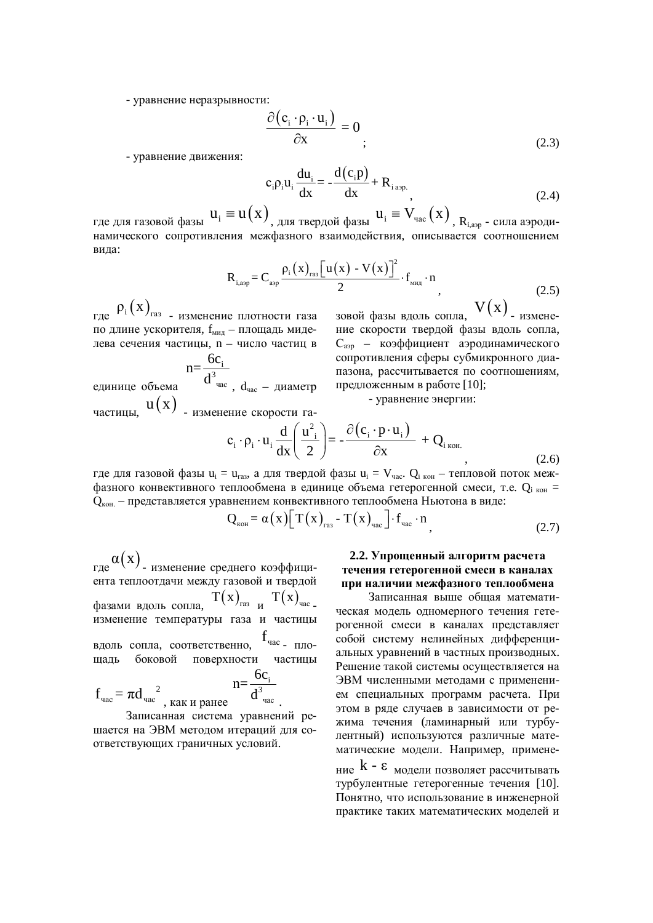- уравнение неразрывности:

$$
\frac{\partial (\mathbf{c}_i \cdot \mathbf{\rho}_i \cdot \mathbf{u}_i)}{\partial \mathbf{x}} = 0
$$
\n(2.3)

- уравнение движения:

$$
c_i \rho_i u_i \frac{du_i}{dx} = -\frac{d(c_i p)}{dx} + R_{i \text{ asp.}}
$$
 (2.4)

где для газовой фазы  $u_i \equiv u(x)$ <sub>, для твердой фазы  $u_i \equiv V_{\text{vac}}(x)$ ,  $R_{\text{i,app}}$  - сила аэроди-</sub> намического сопротивления межфазного взаимодействия, описывается соотношением вила:

$$
R_{i,app} = C_{app} \frac{\rho_i(x)_{\text{ras}} \left[ u(x) - V(x) \right]^2}{2} \cdot f_{\text{max}} \cdot n
$$
\n(2.5)

где  $\rho_i(x)_{\text{ra}3}$  <sub>- изменение плотности газа</sub> по длине ускорителя,  $f_{MHA}$  – площадь миделева сечения частицы, n – число частиц в

единице объема i 3 час 6c n=  $d^{3}$ час,  $d_{\text{vac}}$  – диаметр частицы,  $u(x)$  - изменение скорости га-

зовой фазы вдоль сопла,  $V(x)$ <sub>-измене-</sub> ние скорости твердой фазы вдоль сопла, С<sub>аэр</sub> – коэффициент аэродинамического сопротивления сферы субмикронного диапазона, рассчитывается по соотношениям, предложенным в работе [10];

 $(2.6)$ 

- уравнение энергии:

$$
c_i \cdot \rho_i \cdot u_i \frac{d}{dx} \left( \frac{u^2}{2} \right) = -\frac{\partial (c_i \cdot p \cdot u_i)}{\partial x} + Q_{i \text{ koh.}}
$$

где для газовой фазы  $u_i = u_{ras}$ , а для твердой фазы  $u_i = V_{vac}$ .  $Q_{i\ \rm{kon}}$  – тепловой поток межфазного конвективного теплообмена в единице объема гетерогенной смеси, т.е. Q<sub>i кон</sub>  $Q_{\text{\tiny KOH.}}$  – представляется уравнением конвективного теплообмена Ньютона в виде:

$$
Q_{\text{KOH}} = \alpha(x) \left[ T(x)_{\text{rad}} - T(x)_{\text{vac}} \right] \cdot f_{\text{vac}} \cdot n \tag{2.7}
$$

где  $\alpha({\rm x})$ <sub>- изменение среднего коэффици-</sub> ента теплоотдачи между газовой и твердой фазами вдоль сопла,  $T(x)_{\text{ras}}$  и  $T(x)_{\text{vac}}$ . а изменение температуры газа и частицы вдоль сопла, соответственно, <sup>f</sup>час-плошаль боковой поверхности частицы  $f_{\text{vac}} = \pi d_{\text{vac}}^2$ , как и ранее i 3 час  $6c$ n=  $d^3$ <sub>yac</sub>

Записанная система уравнений решается на ЭВМ методом итераций для соответствующих граничных условий.

## 2.2. Упрощенный алгоритм расчета течения гетерогенной смеси в каналах при наличии межфазного теплообмена

Записанная выше общая математическая модель одномерного течения гетерогенной смеси в каналах представляет собой систему нелинейных дифференциальных уравнений в частных производных. Решение такой системы осушествляется на ЭВМ численными метолами с применением специальных программ расчета. При этом в ряде случаев в зависимости от режима течения (ламинарный или турбулентный) используются различные математические модели. Например, применение  $k - \varepsilon$  модели позволяет рассчитывать

турбулентные гетерогенные течения [10]. Понятно, что использование в инженерной практике таких математических моделей и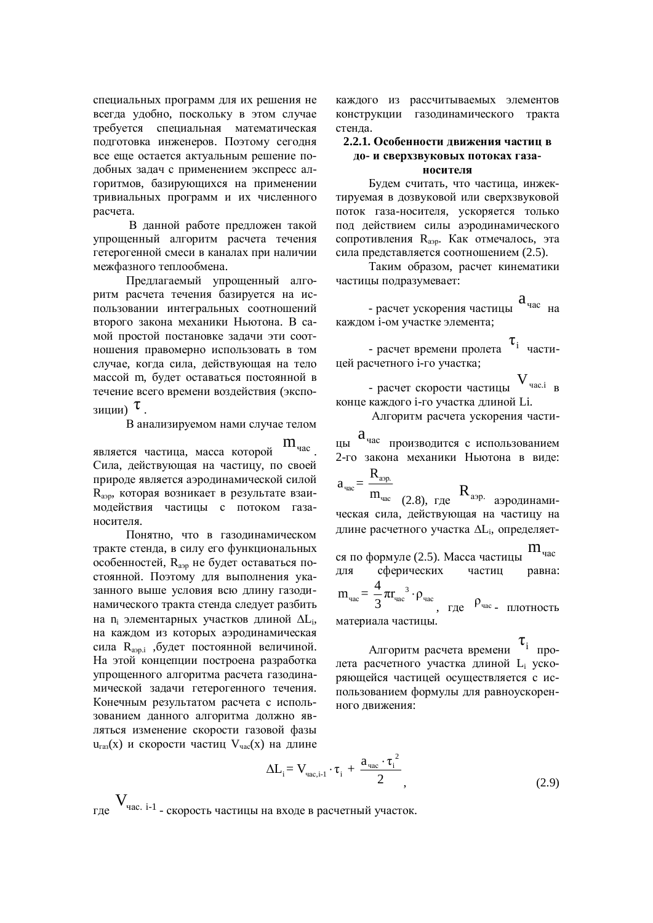специальных программ для их решения не всегда удобно, поскольку в этом случае требуется специальная математическая подготовка инженеров. Поэтому сегодня все еще остается актуальным решение подобных задач с применением экспресс алгоритмов, базирующихся на применении тривиальных программ и их численного расчета.

В данной работе предложен такой упрощенный алгоритм расчета течения гетерогенной смеси в каналах при наличии межфазного теплообмена.

Предлагаемый упрощенный алгоритм расчета течения базируется на использовании интегральных соотношений второго закона механики Ньютона. В самой простой постановке задачи эти соотношения правомерно использовать в том случае, когда сила, действующая на тело массой m, будет оставаться постоянной в течение всего времени воздействия (экспозиции)  $\tau$ .

В анализируемом нами случае телом

является частица, масса которой  $m_{\text{vac}}$ . Сила, действующая на частицу, по своей природе является аэродинамической силой R<sub>аэр</sub>, которая возникает в результате взаимодействия частицы с потоком газаносителя.

Понятно, что в газолинамическом тракте стенда, в силу его функциональных особенностей, R<sub>аэр</sub> не будет оставаться постоянной. Поэтому для выполнения указанного выше условия всю длину газодинамического тракта стенда следует разбить на n<sub>i</sub> элементарных участков длиной  $\Delta L_i$ , на каждом из которых аэродинамическая сила R<sub>аэр.i</sub> , будет постоянной величиной. На этой концепции построена разработка упрощенного алгоритма расчета газодинамической задачи гетерогенного течения. Конечным результатом расчета с использованием данного алгоритма должно являться изменение скорости газовой фазы  $u_{\text{ras}}(x)$  и скорости частиц  $V_{\text{vac}}(x)$  на длине

каждого из рассчитываемых элементов конструкции газодинамического тракта стенда.

## $2.2.1.$  Особенности движения частиц в до- и сверхзвуковых потоках газа-**НОСИТЕЛЯ**

Будем считать, что частица, инжектируемая в дозвуковой или сверхзвуковой поток газа-носителя, ускоряется только под действием силы аэродинамического сопротивления R<sub>app</sub>. Как отмечалось, эта сила представляется соотношением (2.5).

Таким образом, расчет кинематики частицы подразумевает:

- расчет ускорения частицы  $a_{\text{vac}}$  на каждом і-ом участке элемента;

- расчет времени пролета  $\tau_i$  частицей расчетного i-го vчастка:

- расчет скорости частицы  $V_{\text{vac,i}}$  в конце каждого i-го участка длиной Li.

Алгоритм расчета ускорения части-

 $a<sub>vac</sub>$  производится с использованием 2-го закона механики Ньютона в виде: аэр. R

ɱɚɫ ɱɚɫ  $a_{\text{vac}} =$  $\overline{m_{\text{vac}}}$  (2.8), где  $R_{\text{a}^{2}$ аэродинамическая сила, действующая на частицу на длине расчетного участка  $\Delta L_i$ , определяет-

ся по формуле (2.5). Масса частицы  $m_{\text{vac}}$ для сферических частиц равна:

3  $_{\text{vac}}$   $\sim$   $\mu_{\text{vac}}$   $\sim$   $\mu_{\text{vac}}$  $m_{\text{vac}} = \frac{4}{3} \pi r_{\text{vac}}^3 \cdot \rho_{\text{uc}}$ 3  $\cdot \rho_{\text{vac}}$ , где  $\rho_{\text{vac}}$  плотность материала частицы.

Алгоритм расчета времени  $\tau_i$  пролета расчетного участка длиной L<sub>i</sub> ускоряющейся частицей осуществляется с использованием формулы для равноускоренного движения:

$$
\Delta L_{i} = V_{\text{vac},i-1} \cdot \tau_{i} + \frac{a_{\text{vac}} \cdot \tau_{i}^{2}}{2}, \qquad (2.9)
$$

 $V_{\text{vac. i-1}}$ . Скорость частицы на входе в расчетный участок.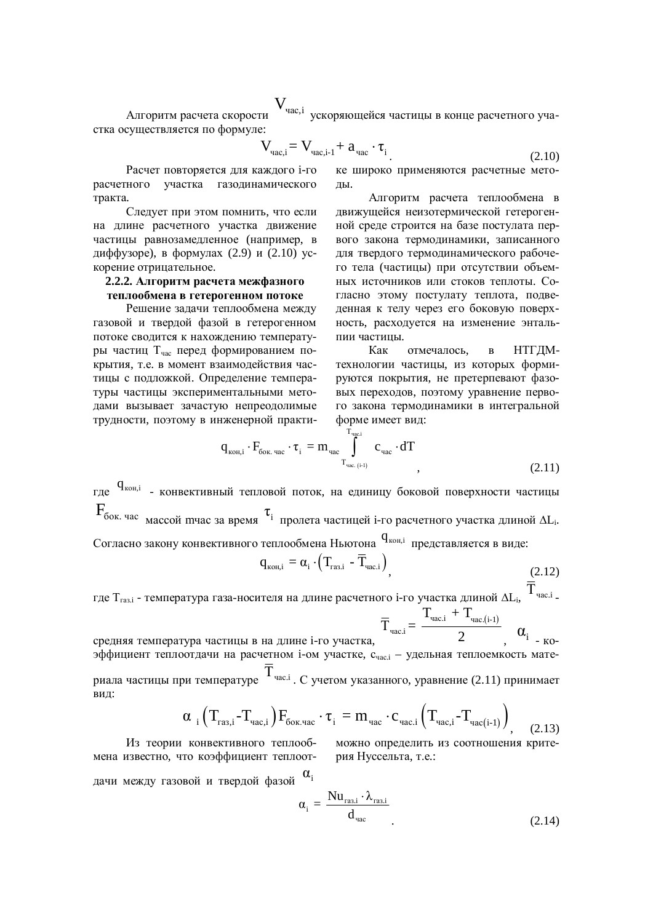Алгоритм расчета скорости **V**<sub>час,і</sub> ускоряющейся частицы в конце расчетного участка осуществляется по формуле:

$$
V_{\text{vac},i} = V_{\text{vac},i-1} + a_{\text{vac}} \cdot \tau_{i}
$$
 (2.10)

Расчет повторяется для каждого i-го расчетного участка газодинамического тракта.

Следует при этом помнить, что если на длине расчетного участка движение частицы равнозамедленное (например, в диффузоре), в формулах (2.9) и (2.10) ускорение отрицательное.

## 2.2.2. Алгоритм расчета межфазного теплообмена в гетерогенном потоке

Решение задачи теплообмена между газовой и тверлой фазой в гетерогенном потоке сводится к нахождению температуры частиц Т<sub>час</sub> перед формированием покрытия, т.е. в момент взаимодействия частицы с подложкой. Определение температуры частицы экспериментальными методами вызывает зачастую непреодолимые трудности, поэтому в инженерной практике широко применяются расчетные методы.

Алгоритм расчета теплообмена в движущейся неизотермической гетерогенной среде строится на базе постулата первого закона термодинамики, записанного для твердого термодинамического рабочего тела (частицы) при отсутствии объемных источников или стоков теплоты. Согласно этому постулату теплота, подведенная к телу через его боковую поверхность, расходуется на изменение энтальпии частицы.

Как отмечалось, в НТГДМтехнологии частицы, из которых формируются покрытия, не претерпевают фазовых переходов, поэтому уравнение первого закона термодинамики в интегральной форме имеет вид:

$$
q_{k0H,i} \cdot F_{\delta 0K.\ \text{vac}} \cdot \tau_{i} = m_{\text{vac}} \int_{T_{\text{vac}}(i-1)}^{T_{\text{vac}}}\mathbf{c}_{\text{vac}} \cdot dT
$$
\n(2.11)

где  $\mathbf q_{\text{koh,i}}$  - конвективный тепловой поток, на единицу боковой поверхности частицы  $F_{\text{60K. 4ac}}$  массой тчас за время  $\tau_i$  пролета частицей i-го расчетного участка длиной  $\Delta L_i$ .

Согласно закону конвективного теплообмена Ньютона <sup>q<sub>кон,i</sup> представляется в виде:</sup></sub>

$$
q_{\text{KOH},i} = \alpha_i \cdot \left( T_{\text{ras},i} - \overline{T}_{\text{vac},i} \right), \tag{2.12}
$$

где Т $_{\rm{ras,i}}$  - температура газа-носителя на длине расчетного i-го участка длиной  $\Delta \rm{L_{i}, ~\overline{T}}$ час.і <sub>-</sub>

$$
\overline{T}_{\text{\tiny{vac},i}}\!=\frac{T_{\text{\tiny{vac},i}}+T_{\text{\tiny{vac},(i-1)}}}{2},\ \, \alpha_i
$$

средняя температура частицы в на длине i-го участка, - KO- $\overline{3}$ ффициент теплоотдачи на расчетном i-ом участке, с<sub>часі</sub> – удельная теплоемкость материала частицы при температуре  $\overline{T}$ <sup>час.і</sup> . С учетом указанного, уравнение (2.11) принимает вид:

$$
\alpha_{i} \left( T_{\text{ras},i} - T_{\text{vac},i} \right) F_{\text{fox},\text{vac}} \cdot \tau_{i} = m_{\text{vac}} \cdot c_{\text{vac},i} \left( T_{\text{vac},i} - T_{\text{vac}(i-1)} \right)_{,} \quad (2.13)
$$

Из теории конвективного теплообмена известно, что коэффициент теплоотдачи между газовой и твердой фазой  $\alpha_i$ 

можно определить из соотношения критерия Нуссельта, т.е.:

$$
\alpha_{i} = \frac{\text{Nu}_{\text{ras},i} \cdot \lambda_{\text{ras},i}}{d_{\text{vac}}}
$$
 (2.14)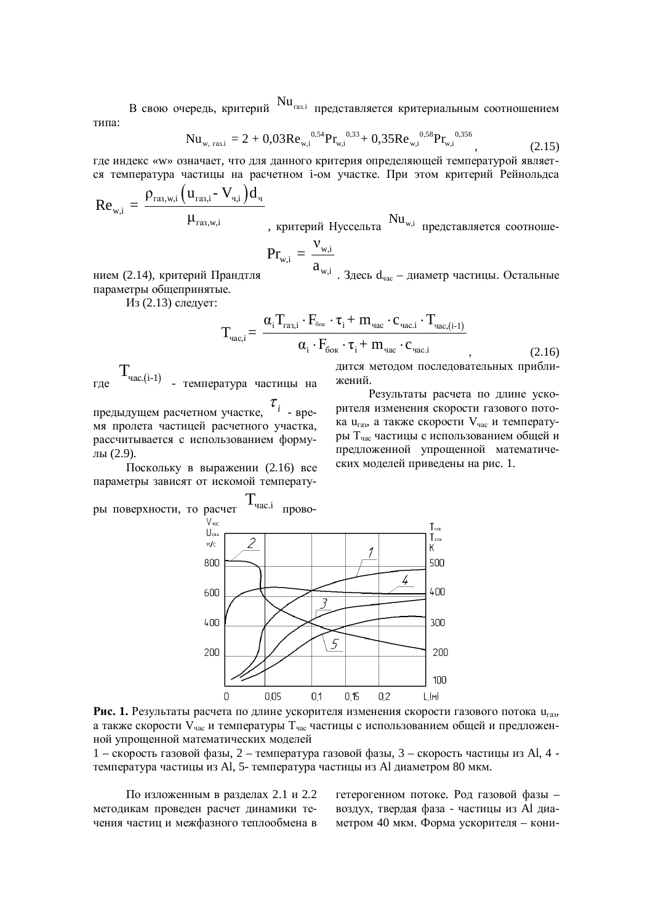В свою очередь, критерий  $Nu_{ras,i}$  представляется критериальным соотношением типа:

$$
Nu_{w, \text{ rasi}} = 2 + 0.03 \text{Re}_{w,i}^{0.54} \text{Pr}_{w,i}^{0.33} + 0.35 \text{Re}_{w,i}^{0.58} \text{Pr}_{w,i}^{0.356}, \tag{2.15}
$$

где индекс «w» означает, что для данного критерия определяющей температурой является температура частицы на расчетном i-ом участке. При этом критерий Рейнольдса

$$
Re_{w,i} = \frac{\rho_{raa,w,i} (u_{raa,i} - V_{u,i}) d_u}{\mu_{raa,w,i}}
$$
, критерий Нусельта<sup>Nu<sub>w,i</sub></sup> представияется соотноше-

$$
Pr_{w,i} = \frac{v_{w,i}}{a}
$$

нием (2.14), критерий Прандтля  $a_{w,i}$  . Здесь  $d_{\text{vac}}$  – диаметр частицы. Остальные

Из (2.13) следует:

параметры общепринятые.

$$
T_{\text{vac},i} = \frac{\alpha_i T_{\text{ras},i} \cdot F_{\text{cor}} \cdot \tau_i + m_{\text{vac}} \cdot c_{\text{vac},i} \cdot T_{\text{vac},(i-1)}}{\alpha_i \cdot F_{\text{cor}} \cdot \tau_i + m_{\text{vac}} \cdot c_{\text{vac},i}},
$$
(2.16)

гле  $T_{\text{vac},(i-1)}$ - температура частицы на

предыдущем расчетном участке,  $\tau_{_i}$  <sub>- вре-</sub> мя пролета частицей расчетного участка, рассчитывается с использованием формулы  $(2.9)$ .

Поскольку в выражении (2.16) все параметры зависят от искомой температудится методом последовательных приближений.

Результаты расчета по длине ускорителя изменения скорости газового потока u<sub>ra</sub>, а также скорости V<sub>час</sub> и температуры Т<sub>час</sub> частицы с использованием общей и предложенной упрощенной математических моделей приведены на рис. 1.



Рис. 1. Результаты расчета по длине ускорителя изменения скорости газового потока u<sub>ra3</sub>, а также скорости  $V_{\text{vac}}$  и температуры  $T_{\text{vac}}$  частицы с использованием общей и предложенной упрощенной математических моделей

 $1 -$ скорость газовой фазы,  $2 -$ температура газовой фазы,  $3 -$ скорость частицы из Al, 4 температура частицы из Al, 5- температура частицы из Al диаметром 80 мкм.

По изложенным в разделах 2.1 и 2.2 методикам проведен расчет динамики течения частиц и межфазного теплообмена в гетерогенном потоке. Род газовой фазы воздух, твердая фаза - частицы из Al диаметром 40 мкм. Форма ускорителя – кони